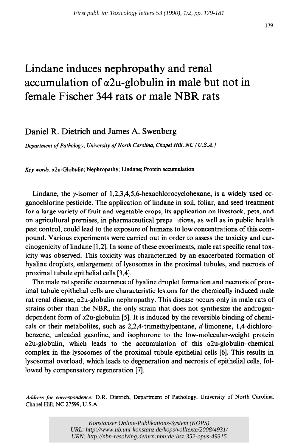## Lindane induces nephropathy and renal accumulation of  $\alpha$ 2u-globulin in male but not in female Fischer 344 rats or male NBR rats

## Daniel R. Dietrich and James A. Swenberg

*Department of Pathology, University of North Carolina, Chapel Hill, NC (U.S.A.)* 

Key words: a2u-Globulin; Nephropathy; Lindane; Protein accumulation

Lindane, the  $\gamma$ -isomer of 1,2,3,4,5,6-hexachlorocyclohexane, is a widely used organochlorine pesticide. The application of lindane in soil, foliar, and seed treatment for a large variety of fruit and vegetable crops, its application on livestock, pets, and on agricultural premises, in pharmaceutical prepa itions, as well as in public health pest control, could lead to the exposure of humans to low concentrations of this compound. Various experiments were carried out in order to assess the toxicity and carcinogenicity of lindane [ 1,2]. In some of these experiments, male rat specific renal toxicity was observed. This toxicity was characterized by an exacerbated formation of hyaline droplets, enlargement of lysosomes in the proximal tubules, and necrosis of proximal tubule epithelial cells [3,4].

The male rat specific occurrence of hyaline droplet formation and necrosis of proximal tubule epithelial cells are characteristic lesions for the chemically induced male rat renal disease, a2u-globulin nephropathy. This disease occurs only in male rats of strains other than the NBR, the only strain that does not synthesize the androgendependent form of  $\alpha$ 2u-globulin [5]. It is induced by the reversible binding of chemicals or their metabolites, such as  $2.2.4$ -trimethylpentane, d-limonene, 1,4-dichlorobenzene, unleaded gasoline, and isophorone to the low-molecular-weight protein  $\alpha$ 2u-globulin, which leads to the accumulation of this  $\alpha$ 2u-globulin-chemical complex in the lysosomes of the proximal tubule epithelial cells [6]. This results in lysosomal overload, which leads to degeneration and necrosis of epithelial cells, followed by compensatory regeneration [7].

*Address for correspondence:* D.R. Dietrich, Department of Pathology, University of North Carolina, Chapel Hill, NC 27599, U.S.A.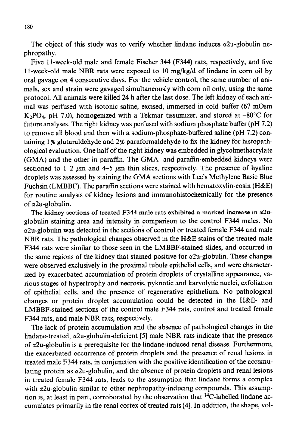The object of this study was to verify whether lindane induces  $\alpha$ 2u-globulin nephropathy.

Five I l-week-old male and female Fischer 344 (F344) rats, respectively, and five 11-week-old male NBR rats were exposed to 10  $mg/kg/d$  of lindane in corn oil by oral gavage on 4 consecutive days. For the vehicle control, the same number of animals, sex and strain were gavaged simultaneously with corn oil only, using the same protocol. All animals were killed 24 h after the last dose. The left kidney of each animal was perfused with isotonic saline, excised, immersed in cold buffer (67 mOsm  $K_2PO_4$ , pH 7.0), homogenized with a Tekmar tissumizer, and stored at -80°C for future analyses. The right kidney was perfused with sodium phosphate buffer (pH 7.2) to remove all blood and then with a sodium-phosphate-buffered saline (pH 7.2) containing  $1\%$  glutaraldehyde and  $2\%$  paraformaldehyde to fix the kidney for histopathological evaluation. One half of the right kidney was embedded in glycolmethacrylate (GMA) and the other in paraffin. The GMA- and paraffin-embedded kidneys were sectioned to  $1-2 \mu m$  and  $4-5 \mu m$  thin slices, respectively. The presence of hyaline droplets was assessed by staining the GMA sections with Lee's Methylene Basic Blue Fuchsin (LMBBF). The paraffin sections were stained with hematoxylin-eosin (H&E) for routine analysis of kidney lesions and immunohistochemically for the presence of  $\alpha$ 2u-globulin.

The kidney sections of treated F344 male rats exhibited a marked increase in  $\alpha$ 2uglobulin staining area and intensity in comparison to the control F344 males. No a2u-globulin was detected in the sections of control or treated female F344 and male NBR rats. The pathological changes observed in the H&E stains of the treated male F344 rats were similar to those seen in the LMBBF-stained slides, and occurred in the same regions of the kidney that stained positive for  $\alpha$ 2u-globulin. These changes were observed exclusively in the proximal tubule epithelial cells, and were characterized by exacerbated accumulation of protein droplets of crystalline appearance, various stages of hypertrophy and necrosis, pyknotic and karyolytic nuclei, exfoliation of epithelial cells, and the presence of regenerative epithelium. No pathological changes or protein droplet accumulation could be detected in the H&E- and LMBBF-stained sections of the control male F344 rats, control and treated female F344 rats, and male NBR rats, respectively.

The lack of protein accumulation and the absence of pathological changes in the lindane-treated,  $\alpha$ 2u-globulin-deficient [5] male NBR rats indicate that the presence of  $\alpha$ 2u-globulin is a prerequisite for the lindane-induced renal disease. Furthermore, the exacerbated occurrence of protein droplets and the presence of renal lesions in treated male F344 rats, in conjunction with the positive identification of the accumulating protein as  $\alpha$ 2u-globulin, and the absence of protein droplets and renal lesions in treated female F344 rats, leads to the assumption that lindane forms a complex with  $\alpha$ 2u-globulin similar to other nephropathy-inducing compounds. This assumption is, at least in part, corroborated by the observation that  ${}^{14}C$ -labelled lindane accumulates primarily in the renal cortex of treated rats [4]. In addition, the shape, vol